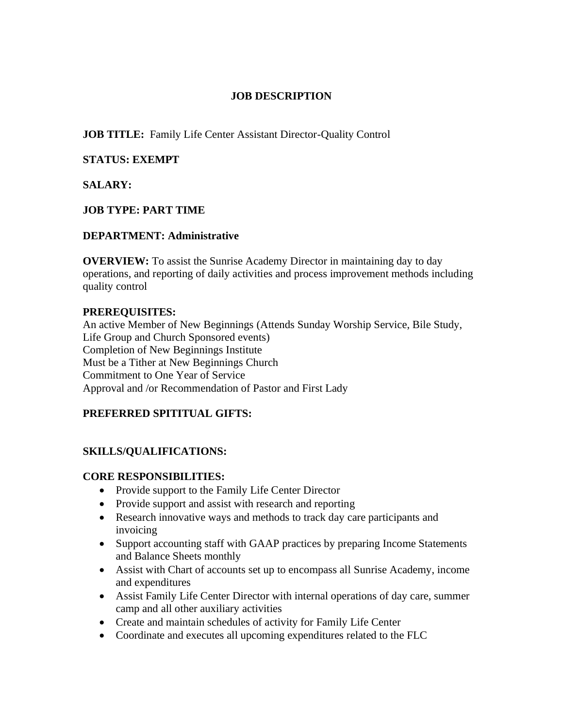#### **JOB DESCRIPTION**

**JOB TITLE:** Family Life Center Assistant Director-Quality Control

## **STATUS: EXEMPT**

# **SALARY:**

# **JOB TYPE: PART TIME**

# **DEPARTMENT: Administrative**

**OVERVIEW:** To assist the Sunrise Academy Director in maintaining day to day operations, and reporting of daily activities and process improvement methods including quality control

#### **PREREQUISITES:**

An active Member of New Beginnings (Attends Sunday Worship Service, Bile Study, Life Group and Church Sponsored events) Completion of New Beginnings Institute Must be a Tither at New Beginnings Church Commitment to One Year of Service Approval and /or Recommendation of Pastor and First Lady

#### **PREFERRED SPITITUAL GIFTS:**

# **SKILLS/QUALIFICATIONS:**

#### **CORE RESPONSIBILITIES:**

- Provide support to the Family Life Center Director
- Provide support and assist with research and reporting
- Research innovative ways and methods to track day care participants and invoicing
- Support accounting staff with GAAP practices by preparing Income Statements and Balance Sheets monthly
- Assist with Chart of accounts set up to encompass all Sunrise Academy, income and expenditures
- Assist Family Life Center Director with internal operations of day care, summer camp and all other auxiliary activities
- Create and maintain schedules of activity for Family Life Center
- Coordinate and executes all upcoming expenditures related to the FLC